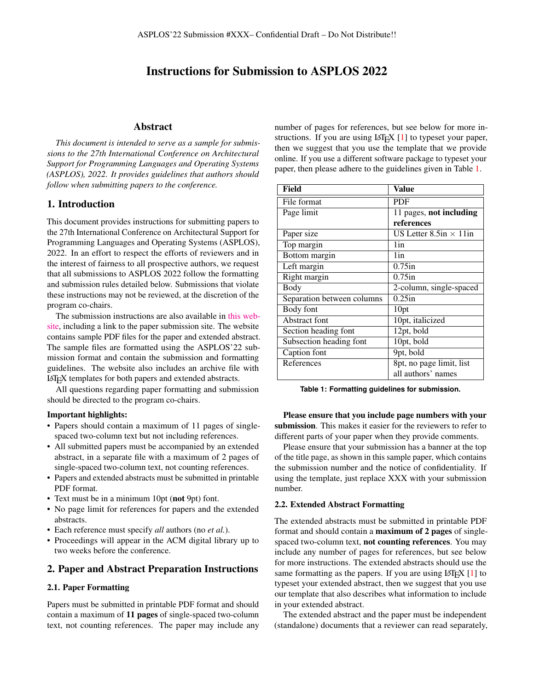# Instructions for Submission to ASPLOS 2022

## Abstract

*This document is intended to serve as a sample for submissions to the 27th International Conference on Architectural Support for Programming Languages and Operating Systems (ASPLOS), 2022. It provides guidelines that authors should follow when submitting papers to the conference.*

#### 1. Introduction

This document provides instructions for submitting papers to the 27th International Conference on Architectural Support for Programming Languages and Operating Systems (ASPLOS), 2022. In an effort to respect the efforts of reviewers and in the interest of fairness to all prospective authors, we request that all submissions to ASPLOS 2022 follow the formatting and submission rules detailed below. Submissions that violate these instructions may not be reviewed, at the discretion of the program co-chairs.

The submission instructions are also available in [this web](https://asplos-conference.org/submissions/)[site,](https://asplos-conference.org/submissions/) including a link to the paper submission site. The website contains sample PDF files for the paper and extended abstract. The sample files are formatted using the ASPLOS'22 submission format and contain the submission and formatting guidelines. The website also includes an archive file with LATEX templates for both papers and extended abstracts.

All questions regarding paper formatting and submission should be directed to the program co-chairs.

### Important highlights:

- Papers should contain a maximum of 11 pages of singlespaced two-column text but not including references.
- All submitted papers must be accompanied by an extended abstract, in a separate file with a maximum of 2 pages of single-spaced two-column text, not counting references.
- Papers and extended abstracts must be submitted in printable PDF format.
- Text must be in a minimum 10pt (not 9pt) font.
- No page limit for references for papers and the extended abstracts.
- Each reference must specify *all* authors (no *et al.*).
- Proceedings will appear in the ACM digital library up to two weeks before the conference.

## 2. Paper and Abstract Preparation Instructions

#### 2.1. Paper Formatting

Papers must be submitted in printable PDF format and should contain a maximum of 11 pages of single-spaced two-column text, not counting references. The paper may include any number of pages for references, but see below for more instructions. If you are using  $LATEX$  [\[1\]](#page-2-0) to typeset your paper, then we suggest that you use the template that we provide online. If you use a different software package to typeset your paper, then please adhere to the guidelines given in Table [1.](#page-0-0)

<span id="page-0-0"></span>

| Field                      | Value                            |
|----------------------------|----------------------------------|
| File format                | <b>PDF</b>                       |
| Page limit                 | 11 pages, not including          |
|                            | references                       |
| Paper size                 | US Letter $8.5$ in $\times$ 11in |
| Top margin                 | 1in                              |
| Bottom margin              | 1in                              |
| Left margin                | $0.75$ in                        |
| Right margin               | $0.75$ in                        |
| Body                       | 2-column, single-spaced          |
| Separation between columns | $0.25$ in                        |
| Body font                  | 10pt                             |
| Abstract font              | 10pt, italicized                 |
| Section heading font       | 12pt, bold                       |
| Subsection heading font    | 10pt, bold                       |
| Caption font               | 9pt, bold                        |
| References                 | 8pt, no page limit, list         |
|                            | all authors' names               |

**Table 1: Formatting guidelines for submission.**

Please ensure that you include page numbers with your submission. This makes it easier for the reviewers to refer to different parts of your paper when they provide comments.

Please ensure that your submission has a banner at the top of the title page, as shown in this sample paper, which contains the submission number and the notice of confidentiality. If using the template, just replace XXX with your submission number.

#### 2.2. Extended Abstract Formatting

The extended abstracts must be submitted in printable PDF format and should contain a maximum of 2 pages of singlespaced two-column text, not counting references. You may include any number of pages for references, but see below for more instructions. The extended abstracts should use the same formatting as the papers. If you are using  $\text{LATEX}$  [\[1\]](#page-2-0) to typeset your extended abstract, then we suggest that you use our template that also describes what information to include in your extended abstract.

The extended abstract and the paper must be independent (standalone) documents that a reviewer can read separately,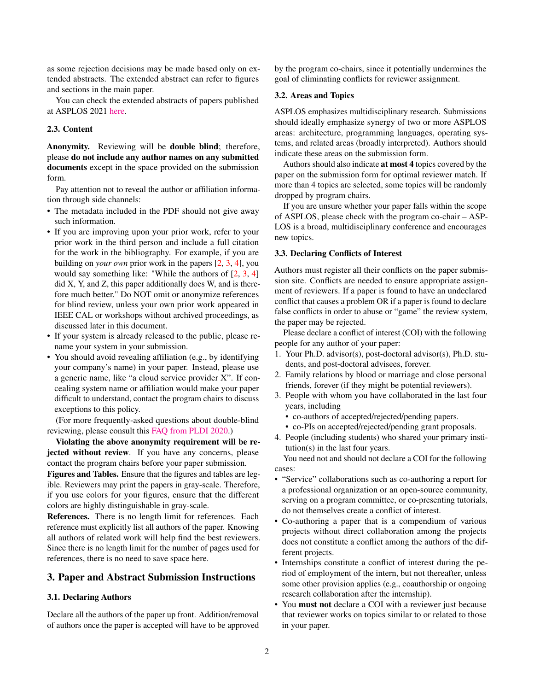as some rejection decisions may be made based only on extended abstracts. The extended abstract can refer to figures and sections in the main paper.

You can check the extended abstracts of papers published at ASPLOS 2021 [here.](https://asplos-conference.org/2021/index.html%3Fp=2181.html)

## 2.3. Content

Anonymity. Reviewing will be double blind; therefore, please do not include any author names on any submitted documents except in the space provided on the submission form.

Pay attention not to reveal the author or affiliation information through side channels:

- The metadata included in the PDF should not give away such information.
- If you are improving upon your prior work, refer to your prior work in the third person and include a full citation for the work in the bibliography. For example, if you are building on *your own* prior work in the papers [\[2,](#page-2-1) [3,](#page-2-2) [4\]](#page-2-3), you would say something like: "While the authors of [\[2,](#page-2-1) [3,](#page-2-2) [4\]](#page-2-3) did X, Y, and Z, this paper additionally does W, and is therefore much better." Do NOT omit or anonymize references for blind review, unless your own prior work appeared in IEEE CAL or workshops without archived proceedings, as discussed later in this document.
- If your system is already released to the public, please rename your system in your submission.
- You should avoid revealing affiliation (e.g., by identifying your company's name) in your paper. Instead, please use a generic name, like "a cloud service provider X". If concealing system name or affiliation would make your paper difficult to understand, contact the program chairs to discuss exceptions to this policy.

(For more frequently-asked questions about double-blind reviewing, please consult this [FAQ from PLDI 2020.](https://pldi20.sigplan.org/track/pldi-2020-papers#FAQ-on-Double-Blind-Reviewing))

Violating the above anonymity requirement will be rejected without review. If you have any concerns, please contact the program chairs before your paper submission.

Figures and Tables. Ensure that the figures and tables are legible. Reviewers may print the papers in gray-scale. Therefore, if you use colors for your figures, ensure that the different colors are highly distinguishable in gray-scale.

References. There is no length limit for references. Each reference must explicitly list all authors of the paper. Knowing all authors of related work will help find the best reviewers. Since there is no length limit for the number of pages used for references, there is no need to save space here.

# 3. Paper and Abstract Submission Instructions

## 3.1. Declaring Authors

Declare all the authors of the paper up front. Addition/removal of authors once the paper is accepted will have to be approved by the program co-chairs, since it potentially undermines the goal of eliminating conflicts for reviewer assignment.

#### 3.2. Areas and Topics

ASPLOS emphasizes multidisciplinary research. Submissions should ideally emphasize synergy of two or more ASPLOS areas: architecture, programming languages, operating systems, and related areas (broadly interpreted). Authors should indicate these areas on the submission form.

Authors should also indicate at most 4 topics covered by the paper on the submission form for optimal reviewer match. If more than 4 topics are selected, some topics will be randomly dropped by program chairs.

If you are unsure whether your paper falls within the scope of ASPLOS, please check with the program co-chair – ASP-LOS is a broad, multidisciplinary conference and encourages new topics.

## 3.3. Declaring Conflicts of Interest

Authors must register all their conflicts on the paper submission site. Conflicts are needed to ensure appropriate assignment of reviewers. If a paper is found to have an undeclared conflict that causes a problem OR if a paper is found to declare false conflicts in order to abuse or "game" the review system, the paper may be rejected.

Please declare a conflict of interest (COI) with the following people for any author of your paper:

- 1. Your Ph.D. advisor(s), post-doctoral advisor(s), Ph.D. students, and post-doctoral advisees, forever.
- 2. Family relations by blood or marriage and close personal friends, forever (if they might be potential reviewers).
- 3. People with whom you have collaborated in the last four years, including
	- co-authors of accepted/rejected/pending papers.
	- co-PIs on accepted/rejected/pending grant proposals.
- 4. People (including students) who shared your primary institution(s) in the last four years.

You need not and should not declare a COI for the following cases:

- "Service" collaborations such as co-authoring a report for a professional organization or an open-source community, serving on a program committee, or co-presenting tutorials, do not themselves create a conflict of interest.
- Co-authoring a paper that is a compendium of various projects without direct collaboration among the projects does not constitute a conflict among the authors of the different projects.
- Internships constitute a conflict of interest during the period of employment of the intern, but not thereafter, unless some other provision applies (e.g., coauthorship or ongoing research collaboration after the internship).
- You must not declare a COI with a reviewer just because that reviewer works on topics similar to or related to those in your paper.